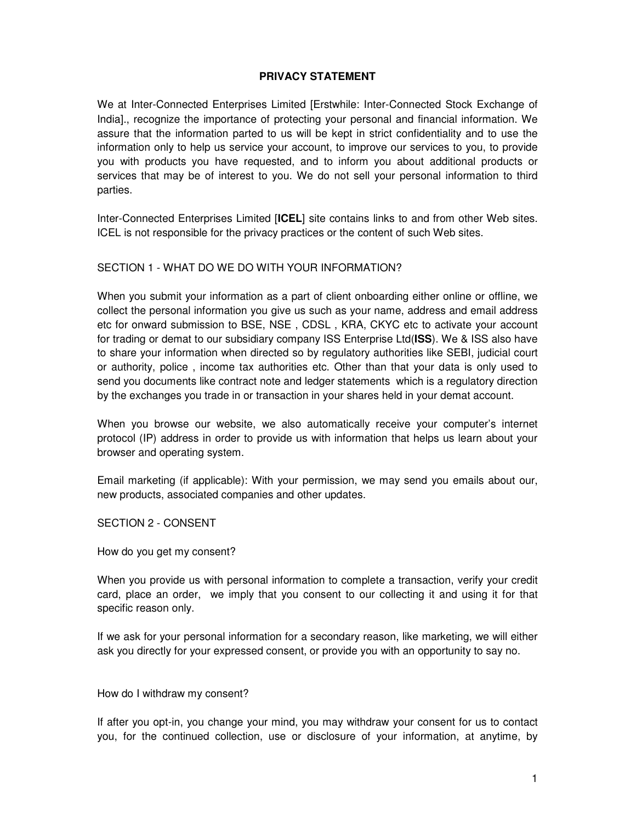# **PRIVACY STATEMENT**

We at Inter-Connected Enterprises Limited [Erstwhile: Inter-Connected Stock Exchange of India]., recognize the importance of protecting your personal and financial information. We assure that the information parted to us will be kept in strict confidentiality and to use the information only to help us service your account, to improve our services to you, to provide you with products you have requested, and to inform you about additional products or services that may be of interest to you. We do not sell your personal information to third parties.

Inter-Connected Enterprises Limited [**ICEL**] site contains links to and from other Web sites. ICEL is not responsible for the privacy practices or the content of such Web sites.

# SECTION 1 - WHAT DO WE DO WITH YOUR INFORMATION?

When you submit your information as a part of client onboarding either online or offline, we collect the personal information you give us such as your name, address and email address etc for onward submission to BSE, NSE , CDSL , KRA, CKYC etc to activate your account for trading or demat to our subsidiary company ISS Enterprise Ltd(**ISS**). We & ISS also have to share your information when directed so by regulatory authorities like SEBI, judicial court or authority, police , income tax authorities etc. Other than that your data is only used to send you documents like contract note and ledger statements which is a regulatory direction by the exchanges you trade in or transaction in your shares held in your demat account.

When you browse our website, we also automatically receive your computer's internet protocol (IP) address in order to provide us with information that helps us learn about your browser and operating system.

Email marketing (if applicable): With your permission, we may send you emails about our, new products, associated companies and other updates.

SECTION 2 - CONSENT

How do you get my consent?

When you provide us with personal information to complete a transaction, verify your credit card, place an order, we imply that you consent to our collecting it and using it for that specific reason only.

If we ask for your personal information for a secondary reason, like marketing, we will either ask you directly for your expressed consent, or provide you with an opportunity to say no.

How do I withdraw my consent?

If after you opt-in, you change your mind, you may withdraw your consent for us to contact you, for the continued collection, use or disclosure of your information, at anytime, by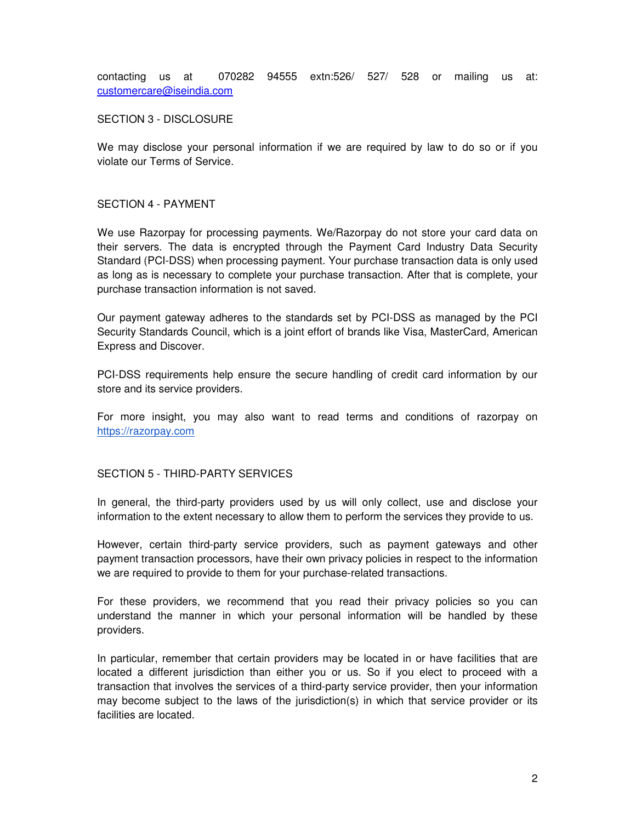contacting us at 070282 94555 extn:526/ 527/ 528 or mailing us at: customercare@iseindia.com

### SECTION 3 - DISCLOSURE

We may disclose your personal information if we are required by law to do so or if you violate our Terms of Service.

#### SECTION 4 - PAYMENT

We use Razorpay for processing payments. We/Razorpay do not store your card data on their servers. The data is encrypted through the Payment Card Industry Data Security Standard (PCI-DSS) when processing payment. Your purchase transaction data is only used as long as is necessary to complete your purchase transaction. After that is complete, your purchase transaction information is not saved.

Our payment gateway adheres to the standards set by PCI-DSS as managed by the PCI Security Standards Council, which is a joint effort of brands like Visa, MasterCard, American Express and Discover.

PCI-DSS requirements help ensure the secure handling of credit card information by our store and its service providers.

For more insight, you may also want to read terms and conditions of razorpay on https://razorpay.com

### SECTION 5 - THIRD-PARTY SERVICES

In general, the third-party providers used by us will only collect, use and disclose your information to the extent necessary to allow them to perform the services they provide to us.

However, certain third-party service providers, such as payment gateways and other payment transaction processors, have their own privacy policies in respect to the information we are required to provide to them for your purchase-related transactions.

For these providers, we recommend that you read their privacy policies so you can understand the manner in which your personal information will be handled by these providers.

In particular, remember that certain providers may be located in or have facilities that are located a different jurisdiction than either you or us. So if you elect to proceed with a transaction that involves the services of a third-party service provider, then your information may become subject to the laws of the jurisdiction(s) in which that service provider or its facilities are located.